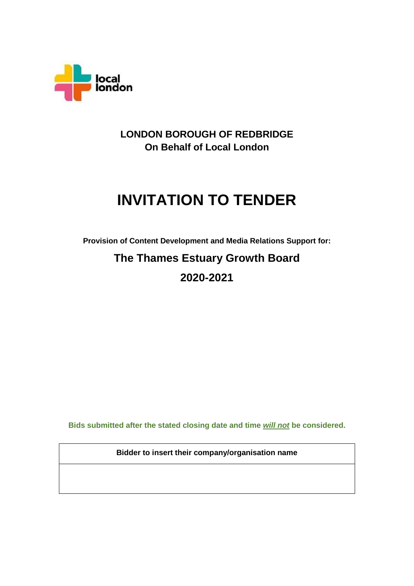

**LONDON BOROUGH OF REDBRIDGE On Behalf of Local London**

# **INVITATION TO TENDER**

**Provision of Content Development and Media Relations Support for:**

# **The Thames Estuary Growth Board 2020-2021**

**Bids submitted after the stated closing date and time** *will not* **be considered.**

**Bidder to insert their company/organisation name**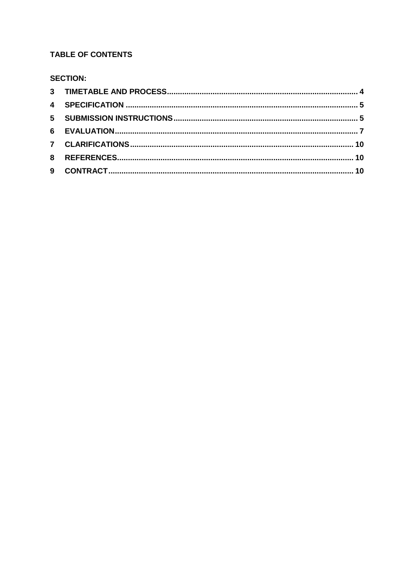# **TABLE OF CONTENTS**

# **SECTION:**

| 9 |  |
|---|--|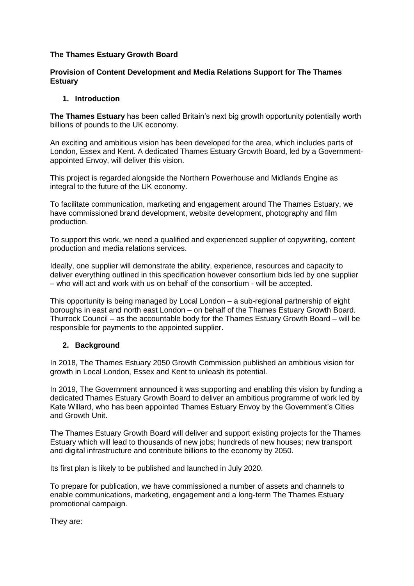#### **The Thames Estuary Growth Board**

#### **Provision of Content Development and Media Relations Support for The Thames Estuary**

#### **1. Introduction**

**The Thames Estuary** has been called Britain's next big growth opportunity potentially worth billions of pounds to the UK economy.

An exciting and ambitious vision has been developed for the area, which includes parts of London, Essex and Kent. A dedicated Thames Estuary Growth Board, led by a Governmentappointed Envoy, will deliver this vision.

This project is regarded alongside the Northern Powerhouse and Midlands Engine as integral to the future of the UK economy.

To facilitate communication, marketing and engagement around The Thames Estuary, we have commissioned brand development, website development, photography and film production.

To support this work, we need a qualified and experienced supplier of copywriting, content production and media relations services.

Ideally, one supplier will demonstrate the ability, experience, resources and capacity to deliver everything outlined in this specification however consortium bids led by one supplier – who will act and work with us on behalf of the consortium - will be accepted.

This opportunity is being managed by Local London – a sub-regional partnership of eight boroughs in east and north east London – on behalf of the Thames Estuary Growth Board. Thurrock Council – as the accountable body for the Thames Estuary Growth Board – will be responsible for payments to the appointed supplier.

#### **2. Background**

In 2018, The Thames Estuary 2050 Growth Commission published an ambitious vision for growth in Local London, Essex and Kent to unleash its potential.

In 2019, The Government announced it was supporting and enabling this vision by funding a dedicated Thames Estuary Growth Board to deliver an ambitious programme of work led by Kate Willard, who has been appointed Thames Estuary Envoy by the Government's Cities and Growth Unit.

The Thames Estuary Growth Board will deliver and support existing projects for the Thames Estuary which will lead to thousands of new jobs; hundreds of new houses; new transport and digital infrastructure and contribute billions to the economy by 2050.

Its first plan is likely to be published and launched in July 2020.

To prepare for publication, we have commissioned a number of assets and channels to enable communications, marketing, engagement and a long-term The Thames Estuary promotional campaign.

They are: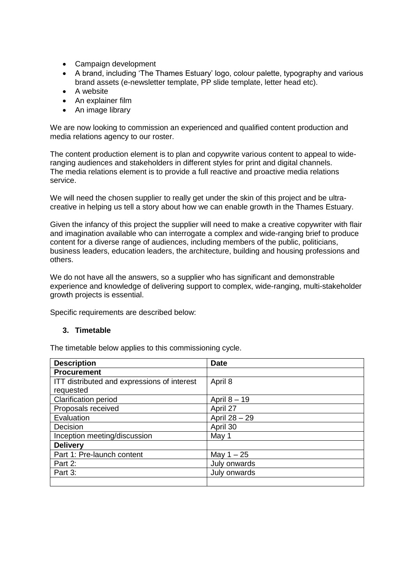- Campaign development
- A brand, including 'The Thames Estuary' logo, colour palette, typography and various brand assets (e-newsletter template, PP slide template, letter head etc).
- A website
- An explainer film
- An image library

We are now looking to commission an experienced and qualified content production and media relations agency to our roster.

The content production element is to plan and copywrite various content to appeal to wideranging audiences and stakeholders in different styles for print and digital channels. The media relations element is to provide a full reactive and proactive media relations service.

We will need the chosen supplier to really get under the skin of this project and be ultracreative in helping us tell a story about how we can enable growth in the Thames Estuary.

Given the infancy of this project the supplier will need to make a creative copywriter with flair and imagination available who can interrogate a complex and wide-ranging brief to produce content for a diverse range of audiences, including members of the public, politicians, business leaders, education leaders, the architecture, building and housing professions and others.

We do not have all the answers, so a supplier who has significant and demonstrable experience and knowledge of delivering support to complex, wide-ranging, multi-stakeholder growth projects is essential.

Specific requirements are described below:

#### **3. Timetable**

The timetable below applies to this commissioning cycle.

| <b>Description</b>                          | <b>Date</b>    |
|---------------------------------------------|----------------|
| <b>Procurement</b>                          |                |
| ITT distributed and expressions of interest | April 8        |
| requested                                   |                |
| <b>Clarification period</b>                 | April $8 - 19$ |
| Proposals received                          | April 27       |
| Evaluation                                  | April 28 - 29  |
| Decision                                    | April 30       |
| Inception meeting/discussion                | May 1          |
| <b>Delivery</b>                             |                |
| Part 1: Pre-launch content                  | May $1 - 25$   |
| Part 2:                                     | July onwards   |
| Part 3:                                     | July onwards   |
|                                             |                |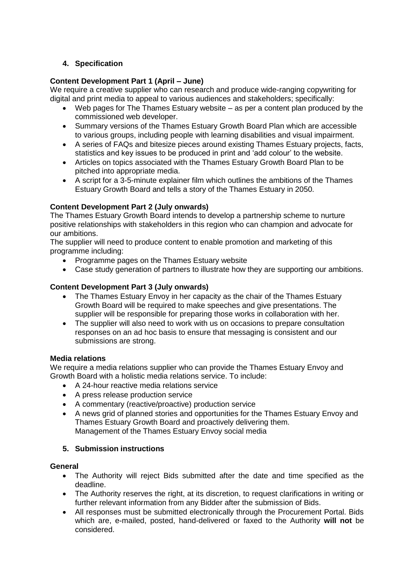# **4. Specification**

### **Content Development Part 1 (April – June)**

We require a creative supplier who can research and produce wide-ranging copywriting for digital and print media to appeal to various audiences and stakeholders; specifically:

- Web pages for The Thames Estuary website as per a content plan produced by the commissioned web developer.
- Summary versions of the Thames Estuary Growth Board Plan which are accessible to various groups, including people with learning disabilities and visual impairment.
- A series of FAQs and bitesize pieces around existing Thames Estuary projects, facts, statistics and key issues to be produced in print and 'add colour' to the website.
- Articles on topics associated with the Thames Estuary Growth Board Plan to be pitched into appropriate media.
- A script for a 3-5-minute explainer film which outlines the ambitions of the Thames Estuary Growth Board and tells a story of the Thames Estuary in 2050.

#### **Content Development Part 2 (July onwards)**

The Thames Estuary Growth Board intends to develop a partnership scheme to nurture positive relationships with stakeholders in this region who can champion and advocate for our ambitions.

The supplier will need to produce content to enable promotion and marketing of this programme including:

- Programme pages on the Thames Estuary website
- Case study generation of partners to illustrate how they are supporting our ambitions.

#### **Content Development Part 3 (July onwards)**

- The Thames Estuary Envoy in her capacity as the chair of the Thames Estuary Growth Board will be required to make speeches and give presentations. The supplier will be responsible for preparing those works in collaboration with her.
- The supplier will also need to work with us on occasions to prepare consultation responses on an ad hoc basis to ensure that messaging is consistent and our submissions are strong.

#### **Media relations**

We require a media relations supplier who can provide the Thames Estuary Envoy and Growth Board with a holistic media relations service. To include:

- A 24-hour reactive media relations service
- A press release production service
- A commentary (reactive/proactive) production service
- A news grid of planned stories and opportunities for the Thames Estuary Envoy and Thames Estuary Growth Board and proactively delivering them. Management of the Thames Estuary Envoy social media

#### <span id="page-4-0"></span>**5. Submission instructions**

#### **General**

- The Authority will reject Bids submitted after the date and time specified as the deadline.
- The Authority reserves the right, at its discretion, to request clarifications in writing or further relevant information from any Bidder after the submission of Bids.
- All responses must be submitted electronically through the Procurement Portal. Bids which are, e-mailed, posted, hand-delivered or faxed to the Authority **will not** be considered.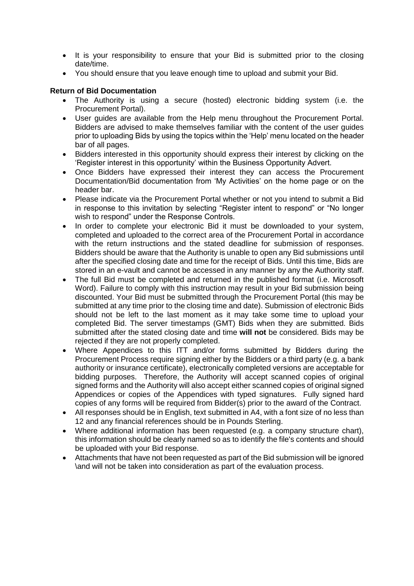- It is your responsibility to ensure that your Bid is submitted prior to the closing date/time.
- You should ensure that you leave enough time to upload and submit your Bid.

#### **Return of Bid Documentation**

- The Authority is using a secure (hosted) electronic bidding system (i.e. the Procurement Portal).
- User guides are available from the Help menu throughout the Procurement Portal. Bidders are advised to make themselves familiar with the content of the user guides prior to uploading Bids by using the topics within the 'Help' menu located on the header bar of all pages.
- Bidders interested in this opportunity should express their interest by clicking on the 'Register interest in this opportunity' within the Business Opportunity Advert.
- Once Bidders have expressed their interest they can access the Procurement Documentation/Bid documentation from 'My Activities' on the home page or on the header bar.
- Please indicate via the Procurement Portal whether or not you intend to submit a Bid in response to this invitation by selecting "Register intent to respond" or "No longer wish to respond" under the Response Controls.
- In order to complete your electronic Bid it must be downloaded to your system, completed and uploaded to the correct area of the Procurement Portal in accordance with the return instructions and the stated deadline for submission of responses. Bidders should be aware that the Authority is unable to open any Bid submissions until after the specified closing date and time for the receipt of Bids. Until this time, Bids are stored in an e-vault and cannot be accessed in any manner by any the Authority staff.
- The full Bid must be completed and returned in the published format (i.e. Microsoft Word). Failure to comply with this instruction may result in your Bid submission being discounted. Your Bid must be submitted through the Procurement Portal (this may be submitted at any time prior to the closing time and date). Submission of electronic Bids should not be left to the last moment as it may take some time to upload your completed Bid. The server timestamps (GMT) Bids when they are submitted. Bids submitted after the stated closing date and time **will not** be considered. Bids may be rejected if they are not properly completed.
- Where Appendices to this ITT and/or forms submitted by Bidders during the Procurement Process require signing either by the Bidders or a third party (e.g. a bank authority or insurance certificate), electronically completed versions are acceptable for bidding purposes. Therefore, the Authority will accept scanned copies of original signed forms and the Authority will also accept either scanned copies of original signed Appendices or copies of the Appendices with typed signatures. Fully signed hard copies of any forms will be required from Bidder(s) prior to the award of the Contract.
- All responses should be in English, text submitted in A4, with a font size of no less than 12 and any financial references should be in Pounds Sterling.
- Where additional information has been requested (e.g. a company structure chart), this information should be clearly named so as to identify the file's contents and should be uploaded with your Bid response.
- Attachments that have not been requested as part of the Bid submission will be ignored \and will not be taken into consideration as part of the evaluation process.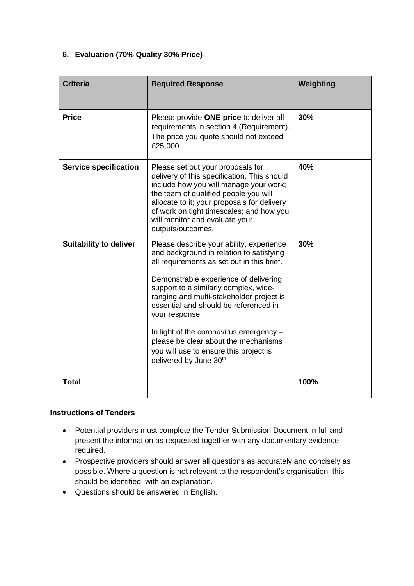# **6. Evaluation (70% Quality 30% Price)**

| <b>Criteria</b>               | <b>Required Response</b>                                                                                                                                                                                                                                                                                                                                                                                                                                                            | Weighting |
|-------------------------------|-------------------------------------------------------------------------------------------------------------------------------------------------------------------------------------------------------------------------------------------------------------------------------------------------------------------------------------------------------------------------------------------------------------------------------------------------------------------------------------|-----------|
| <b>Price</b>                  | Please provide ONE price to deliver all<br>requirements in section 4 (Requirement).<br>The price you quote should not exceed<br>£25,000.                                                                                                                                                                                                                                                                                                                                            | 30%       |
| <b>Service specification</b>  | Please set out your proposals for<br>delivery of this specification. This should<br>include how you will manage your work;<br>the team of qualified people you will<br>allocate to it; your proposals for delivery<br>of work on tight timescales; and how you<br>will monitor and evaluate your<br>outputs/outcomes.                                                                                                                                                               | 40%       |
| <b>Suitability to deliver</b> | Please describe your ability, experience<br>and background in relation to satisfying<br>all requirements as set out in this brief.<br>Demonstrable experience of delivering<br>support to a similarly complex, wide-<br>ranging and multi-stakeholder project is<br>essential and should be referenced in<br>your response.<br>In light of the coronavirus emergency -<br>please be clear about the mechanisms<br>you will use to ensure this project is<br>delivered by June 30th. | 30%       |
| <b>Total</b>                  |                                                                                                                                                                                                                                                                                                                                                                                                                                                                                     | 100%      |

#### **Instructions of Tenders**

- Potential providers must complete the Tender Submission Document in full and present the information as requested together with any documentary evidence required.
- Prospective providers should answer all questions as accurately and concisely as possible. Where a question is not relevant to the respondent's organisation, this should be identified, with an explanation.
- Questions should be answered in English.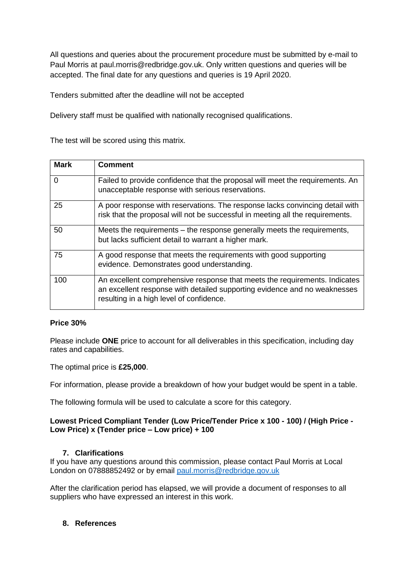All questions and queries about the procurement procedure must be submitted by e-mail to Paul Morris at paul.morris@redbridge.gov.uk. Only written questions and queries will be accepted. The final date for any questions and queries is 19 April 2020.

Tenders submitted after the deadline will not be accepted

Delivery staff must be qualified with nationally recognised qualifications.

The test will be scored using this matrix.

| <b>Mark</b> | <b>Comment</b>                                                                                                                                                                                      |
|-------------|-----------------------------------------------------------------------------------------------------------------------------------------------------------------------------------------------------|
| 0           | Failed to provide confidence that the proposal will meet the requirements. An<br>unacceptable response with serious reservations.                                                                   |
| 25          | A poor response with reservations. The response lacks convincing detail with<br>risk that the proposal will not be successful in meeting all the requirements.                                      |
| 50          | Meets the requirements – the response generally meets the requirements,<br>but lacks sufficient detail to warrant a higher mark.                                                                    |
| 75          | A good response that meets the requirements with good supporting<br>evidence. Demonstrates good understanding.                                                                                      |
| 100         | An excellent comprehensive response that meets the requirements. Indicates<br>an excellent response with detailed supporting evidence and no weaknesses<br>resulting in a high level of confidence. |

#### **Price 30%**

Please include **ONE** price to account for all deliverables in this specification, including day rates and capabilities.

The optimal price is **£25,000**.

For information, please provide a breakdown of how your budget would be spent in a table.

The following formula will be used to calculate a score for this category.

#### **Lowest Priced Compliant Tender (Low Price/Tender Price x 100 - 100) / (High Price - Low Price) x (Tender price – Low price) + 100**

#### **7. Clarifications**

If you have any questions around this commission, please contact Paul Morris at Local London on 07888852492 or by email [paul.morris@redbridge.gov.uk](mailto:paul.morris@redbridge.gov.uk)

After the clarification period has elapsed, we will provide a document of responses to all suppliers who have expressed an interest in this work.

#### **8. References**